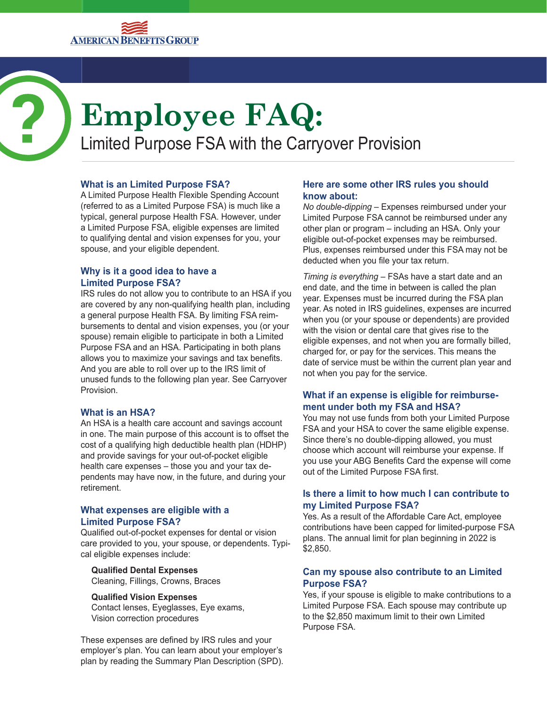

# **Employee FAQ:**

Limited Purpose FSA with the Carryover Provision

# **What is an Limited Purpose FSA?**

A Limited Purpose Health Flexible Spending Account (referred to as a Limited Purpose FSA) is much like a typical, general purpose Health FSA. However, under a Limited Purpose FSA, eligible expenses are limited to qualifying dental and vision expenses for you, your spouse, and your eligible dependent.

## **Why is it a good idea to have a Limited Purpose FSA?**

IRS rules do not allow you to contribute to an HSA if you are covered by any non-qualifying health plan, including a general purpose Health FSA. By limiting FSA reimbursements to dental and vision expenses, you (or your spouse) remain eligible to participate in both a Limited Purpose FSA and an HSA. Participating in both plans allows you to maximize your savings and tax benefits. And you are able to roll over up to the IRS limit of unused funds to the following plan year. See Carryover Provision.

## **What is an HSA?**

An HSA is a health care account and savings account in one. The main purpose of this account is to offset the cost of a qualifying high deductible health plan (HDHP) and provide savings for your out-of-pocket eligible health care expenses – those you and your tax dependents may have now, in the future, and during your retirement.

#### **What expenses are eligible with a Limited Purpose FSA?**

Qualified out-of-pocket expenses for dental or vision care provided to you, your spouse, or dependents. Typical eligible expenses include:

**Qualified Dental Expenses** Cleaning, Fillings, Crowns, Braces

#### **Qualified Vision Expenses**

Contact lenses, Eyeglasses, Eye exams, Vision correction procedures

These expenses are defined by IRS rules and your employer's plan. You can learn about your employer's plan by reading the Summary Plan Description (SPD).

## **Here are some other IRS rules you should know about:**

*No double-dipping* – Expenses reimbursed under your Limited Purpose FSA cannot be reimbursed under any other plan or program – including an HSA. Only your eligible out-of-pocket expenses may be reimbursed. Plus, expenses reimbursed under this FSA may not be deducted when you file your tax return.

*Timing is everything* – FSAs have a start date and an end date, and the time in between is called the plan year. Expenses must be incurred during the FSA plan year. As noted in IRS guidelines, expenses are incurred when you (or your spouse or dependents) are provided with the vision or dental care that gives rise to the eligible expenses, and not when you are formally billed, charged for, or pay for the services. This means the date of service must be within the current plan year and not when you pay for the service.

# **What if an expense is eligible for reimbursement under both my FSA and HSA?**

You may not use funds from both your Limited Purpose FSA and your HSA to cover the same eligible expense. Since there's no double-dipping allowed, you must choose which account will reimburse your expense. If you use your ABG Benefits Card the expense will come out of the Limited Purpose FSA first.

## **Is there a limit to how much I can contribute to my Limited Purpose FSA?**

Yes. As a result of the Affordable Care Act, employee contributions have been capped for limited-purpose FSA plans. The annual limit for plan beginning in 2022 is \$2,850.

## **Can my spouse also contribute to an Limited Purpose FSA?**

Yes, if your spouse is eligible to make contributions to a Limited Purpose FSA. Each spouse may contribute up to the \$2,850 maximum limit to their own Limited Purpose FSA.